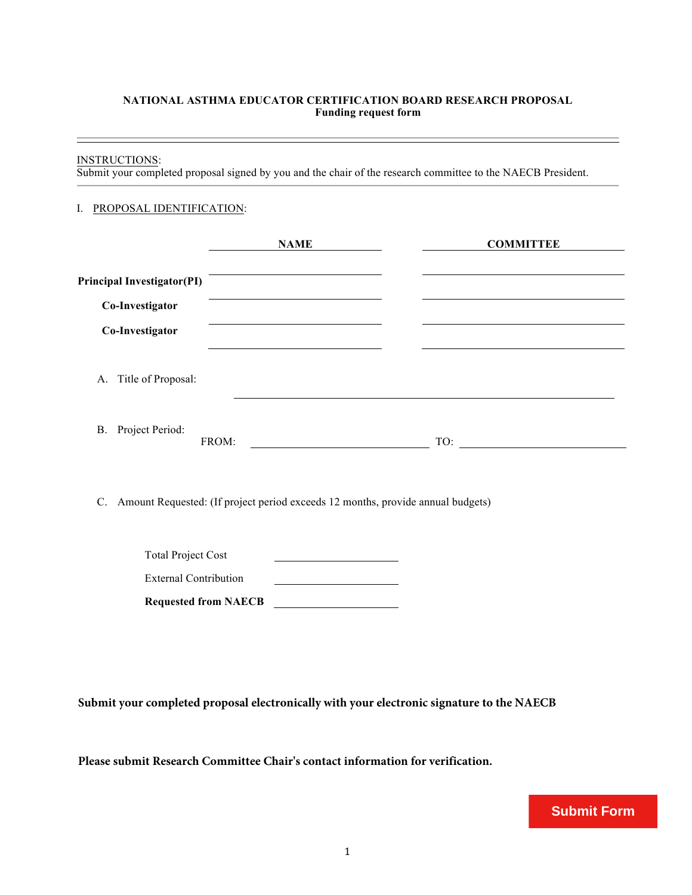### **NATIONAL ASTHMA EDUCATOR CERTIFICATION BOARD RESEARCH PROPOSAL Funding request form**

#### INSTRUCTIONS:

Submit your completed proposal signed by you and the chair of the research committee to the NAECB President.

#### I. PROPOSAL IDENTIFICATION:

|                                   | <b>NAME</b>                                                                     | <b>COMMITTEE</b> |  |
|-----------------------------------|---------------------------------------------------------------------------------|------------------|--|
| <b>Principal Investigator(PI)</b> |                                                                                 |                  |  |
| Co-Investigator                   |                                                                                 |                  |  |
| Co-Investigator                   |                                                                                 |                  |  |
| Title of Proposal:<br>A.          |                                                                                 |                  |  |
| B. Project Period:                | FROM:                                                                           | TO:              |  |
| $C_{\cdot}$                       | Amount Requested: (If project period exceeds 12 months, provide annual budgets) |                  |  |

| <b>Requested from NAECB</b>  |  |
|------------------------------|--|
| <b>External Contribution</b> |  |
| <b>Total Project Cost</b>    |  |

**Submit your completed proposal electronically with your electronic signature to the NAECB**

**Please submit Research Committee Chair's contact information for verification.**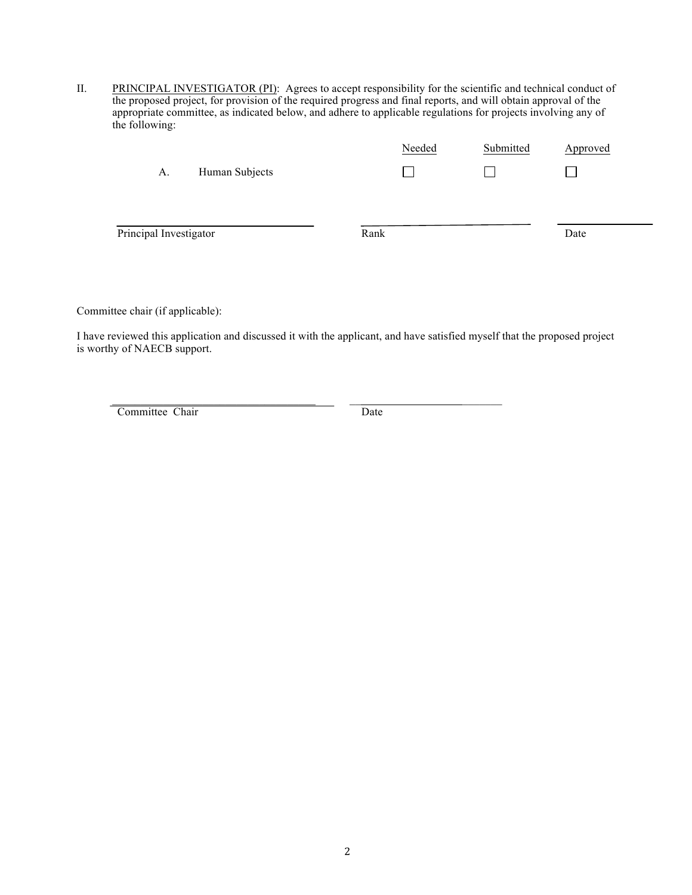II. PRINCIPAL INVESTIGATOR (PI): Agrees to accept responsibility for the scientific and technical conduct of the proposed project, for provision of the required progress and final reports, and will obtain approval of the appropriate committee, as indicated below, and adhere to applicable regulations for projects involving any of the following:

|                        |                | Needed | Submitted     | Approved |  |
|------------------------|----------------|--------|---------------|----------|--|
| A.                     | Human Subjects |        | $\mathcal{L}$ |          |  |
|                        |                |        |               |          |  |
|                        |                |        |               |          |  |
| Principal Investigator |                | Rank   |               | Date     |  |
|                        |                |        |               |          |  |

Committee chair (if applicable):

I have reviewed this application and discussed it with the applicant, and have satisfied myself that the proposed project is worthy of NAECB support.

\_\_\_\_\_\_\_\_\_\_\_\_\_\_\_\_\_\_\_\_\_\_\_\_\_\_\_\_\_\_\_\_\_\_\_\_ \_\_ \_\_\_\_\_\_\_

Committee Chair Date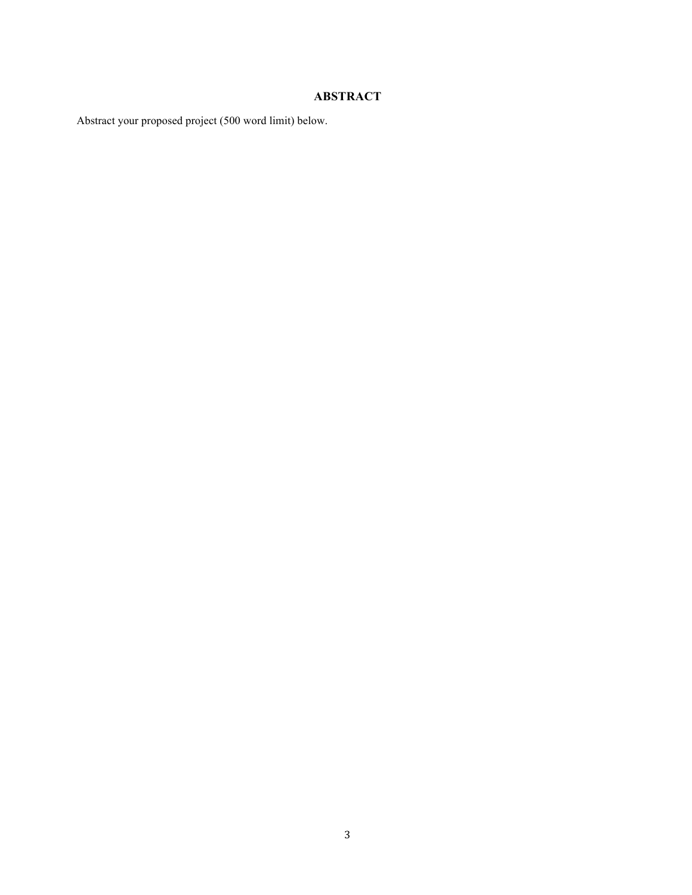# **ABSTRACT**

Abstract your proposed project (500 word limit) below.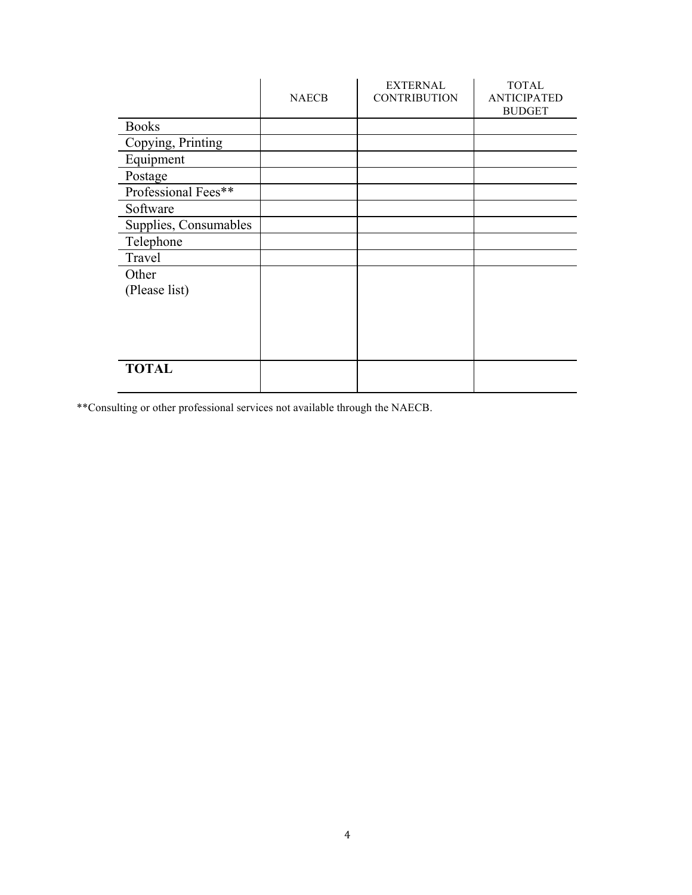|                       | <b>NAECB</b> | <b>EXTERNAL</b><br><b>CONTRIBUTION</b> | <b>TOTAL</b><br><b>ANTICIPATED</b><br><b>BUDGET</b> |
|-----------------------|--------------|----------------------------------------|-----------------------------------------------------|
| <b>Books</b>          |              |                                        |                                                     |
| Copying, Printing     |              |                                        |                                                     |
| Equipment             |              |                                        |                                                     |
| Postage               |              |                                        |                                                     |
| Professional Fees**   |              |                                        |                                                     |
| Software              |              |                                        |                                                     |
| Supplies, Consumables |              |                                        |                                                     |
| Telephone             |              |                                        |                                                     |
| Travel                |              |                                        |                                                     |
| Other                 |              |                                        |                                                     |
| (Please list)         |              |                                        |                                                     |
|                       |              |                                        |                                                     |
|                       |              |                                        |                                                     |
|                       |              |                                        |                                                     |
|                       |              |                                        |                                                     |
| <b>TOTAL</b>          |              |                                        |                                                     |
|                       |              |                                        |                                                     |

\*\*Consulting or other professional services not available through the NAECB.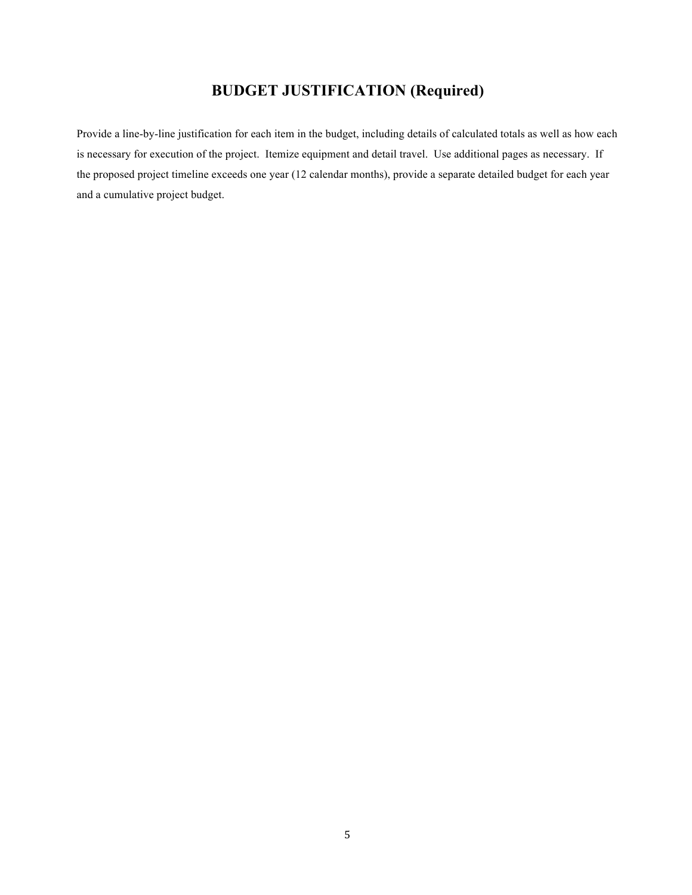# **BUDGET JUSTIFICATION (Required)**

Provide a line-by-line justification for each item in the budget, including details of calculated totals as well as how each is necessary for execution of the project. Itemize equipment and detail travel. Use additional pages as necessary. If the proposed project timeline exceeds one year (12 calendar months), provide a separate detailed budget for each year and a cumulative project budget.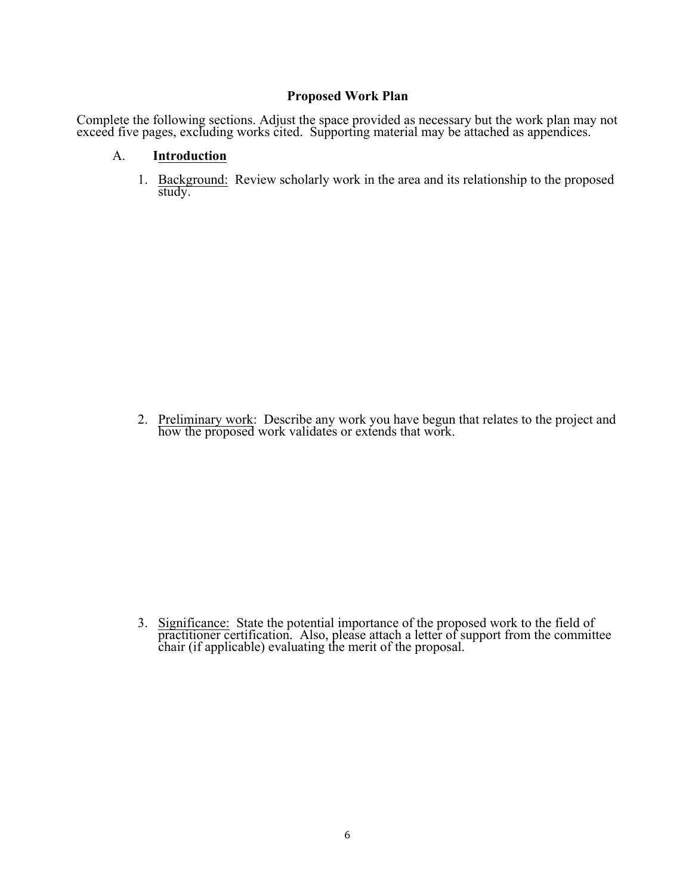## **Proposed Work Plan**

Complete the following sections. Adjust the space provided as necessary but the work plan may not exceed five pages, excluding works cited. Supporting material may be attached as appendices.

## A. **Introduction**

1. Background: Review scholarly work in the area and its relationship to the proposed study.

2. Preliminary work: Describe any work you have begun that relates to the project and how the proposed work validates or extends that work.

3. Significance: State the potential importance of the proposed work to the field of practitioner certification. Also, please attach a letter of support from the committee chair (if applicable) evaluating the merit of the proposal.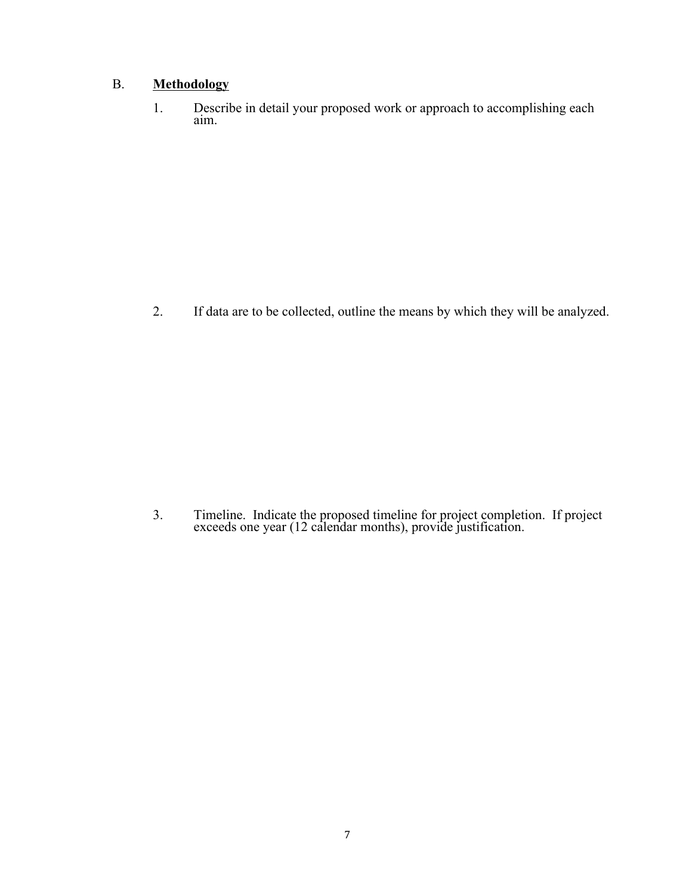# B. **Methodology**

1. Describe in detail your proposed work or approach to accomplishing each aim.

2. If data are to be collected, outline the means by which they will be analyzed.

3. Timeline. Indicate the proposed timeline for project completion. If project exceeds one year (12 calendar months), provide justification.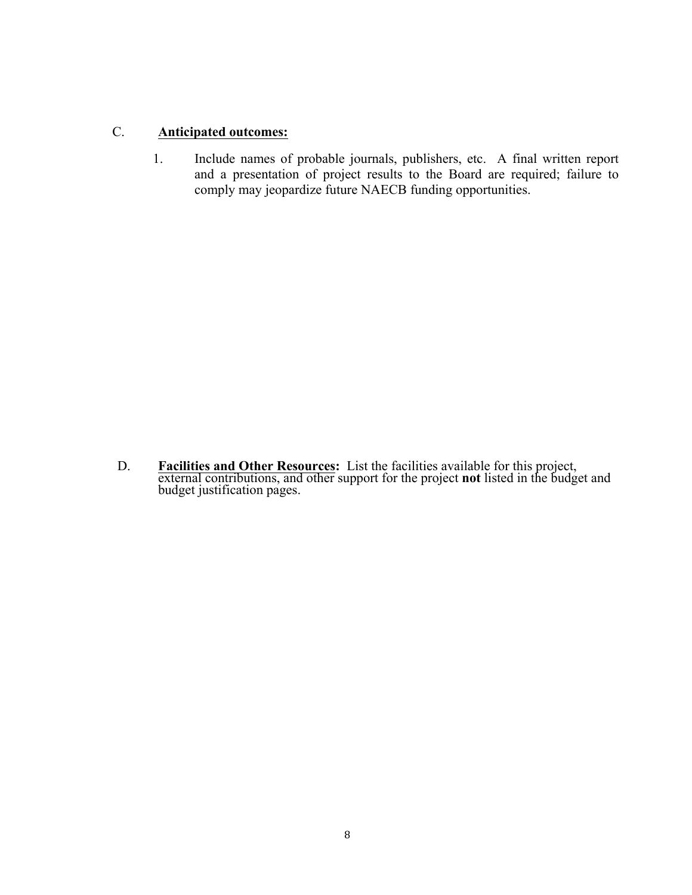# C. **Anticipated outcomes:**

1. Include names of probable journals, publishers, etc. A final written report and a presentation of project results to the Board are required; failure to comply may jeopardize future NAECB funding opportunities.

D. **Facilities and Other Resources:** List the facilities available for this project, external contributions, and other support for the project **not** listed in the budget and budget justification pages.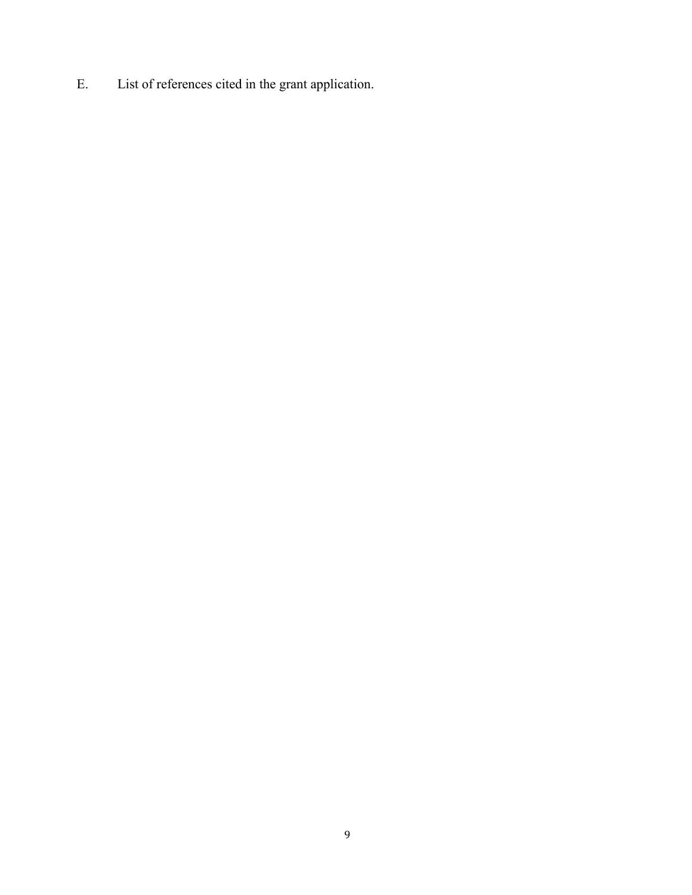E. List of references cited in the grant application.